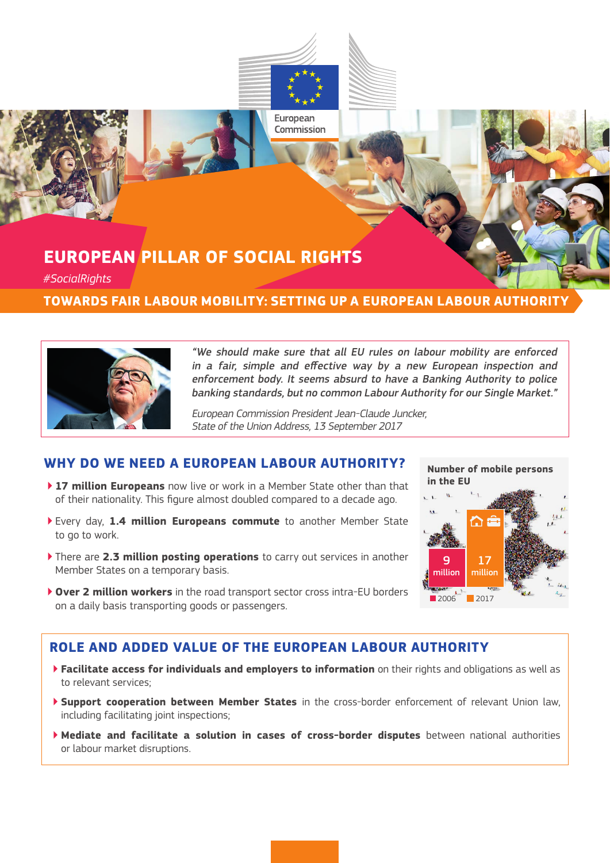

## **EUROPEAN PILLAR OF SOCIAL RIGHTS**

*#SocialRights*

#### **TOWARDS FAIR LABOUR MOBILITY: SETTING UP A EUROPEAN LABOUR AUTHORITY**



"We should make sure that all EU rules on labour mobility are enforced in a fair, simple and effective way by a new European inspection and enforcement body. It seems absurd to have a Banking Authority to police banking standards, but no common Labour Authority for our Single Market."

European Commission President Jean-Claude Juncker, State of the Union Address, 13 September 2017

#### **WHY DO WE NEED A EUROPEAN LABOUR AUTHORITY?**

- ▶ **17 million Europeans** now live or work in a Member State other than that of their nationality. This figure almost doubled compared to a decade ago.
- ▶ Every day, **1.4 million Europeans commute** to another Member State to go to work.
- ▶ There are **2.3 million posting operations** to carry out services in another Member States on a temporary basis.
- ▶ **Over 2 million workers** in the road transport sector cross intra-EU borders on a daily basis transporting goods or passengers.

# 17 million 9 million **in the EU**

**Number of mobile persons**

 $2006$  2017

#### **ROLE AND ADDED VALUE OF THE EUROPEAN LABOUR AUTHORITY**

- ▶ **Facilitate access for individuals and employers to information** on their rights and obligations as well as to relevant services;
- ▶ **Support cooperation between Member States** in the cross-border enforcement of relevant Union law, including facilitating joint inspections;
- ▶ **Mediate and facilitate a solution in cases of cross-border disputes** between national authorities or labour market disruptions.